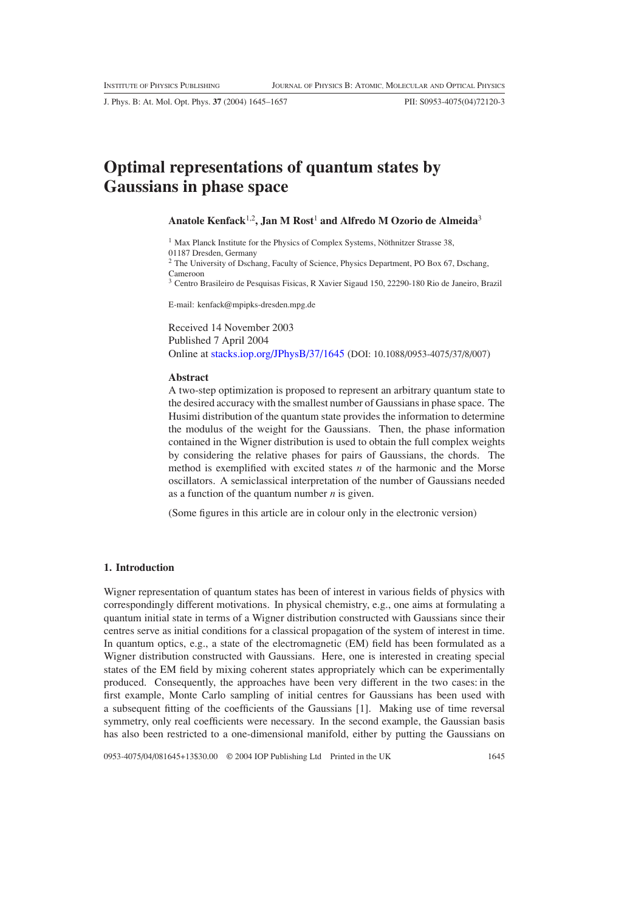J. Phys. B: At. Mol. Opt. Phys. **37** (2004) 1645–1657 PII: S0953-4075(04)72120-3

# **Optimal representations of quantum states by Gaussians in phase space**

# **Anatole Kenfack**1,2**, Jan M Rost**<sup>1</sup> **and Alfredo M Ozorio de Almeida**<sup>3</sup>

 $1$  Max Planck Institute for the Physics of Complex Systems, Nöthnitzer Strasse 38,

01187 Dresden, Germany

<sup>2</sup> The University of Dschang, Faculty of Science, Physics Department, PO Box 67, Dschang, Cameroon

<sup>3</sup> Centro Brasileiro de Pesquisas Fisicas, R Xavier Sigaud 150, 22290-180 Rio de Janeiro, Brazil

E-mail: kenfack@mpipks-dresden.mpg.de

Received 14 November 2003 Published 7 April 2004 Online at [stacks.iop.org/JPhysB/37/1645](http://stacks.iop.org/jb/37/1645) (DOI: 10.1088/0953-4075/37/8/007)

#### **Abstract**

A two-step optimization is proposed to represent an arbitrary quantum state to the desired accuracy with the smallest number of Gaussians in phase space. The Husimi distribution of the quantum state provides the information to determine the modulus of the weight for the Gaussians. Then, the phase information contained in the Wigner distribution is used to obtain the full complex weights by considering the relative phases for pairs of Gaussians, the chords. The method is exemplified with excited states *n* of the harmonic and the Morse oscillators. A semiclassical interpretation of the number of Gaussians needed as a function of the quantum number *n* is given.

(Some figures in this article are in colour only in the electronic version)

#### **1. Introduction**

Wigner representation of quantum states has been of interest in various fields of physics with correspondingly different motivations. In physical chemistry, e.g., one aims at formulating a quantum initial state in terms of a Wigner distribution constructed with Gaussians since their centres serve as initial conditions for a classical propagation of the system of interest in time. In quantum optics, e.g., a state of the electromagnetic (EM) field has been formulated as a Wigner distribution constructed with Gaussians. Here, one is interested in creating special states of the EM field by mixing coherent states appropriately which can be experimentally produced. Consequently, the approaches have been very different in the two cases: in the first example, Monte Carlo sampling of initial centres for Gaussians has been used with a subsequent fitting of the coefficients of the Gaussians [1]. Making use of time reversal symmetry, only real coefficients were necessary. In the second example, the Gaussian basis has also been restricted to a one-dimensional manifold, either by putting the Gaussians on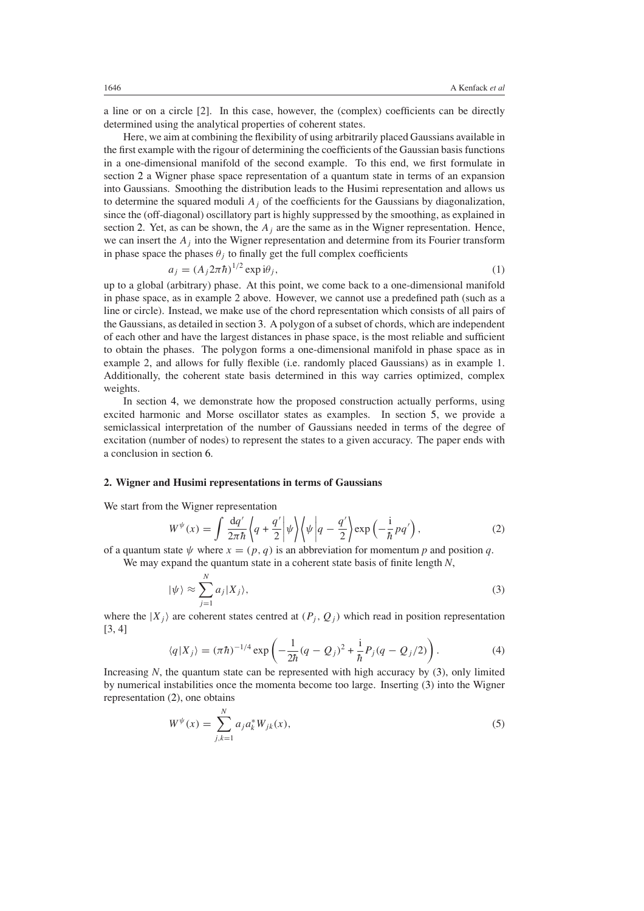a line or on a circle [2]. In this case, however, the (complex) coefficients can be directly determined using the analytical properties of coherent states.

Here, we aim at combining the flexibility of using arbitrarily placed Gaussians available in the first example with the rigour of determining the coefficients of the Gaussian basis functions in a one-dimensional manifold of the second example. To this end, we first formulate in section [2](#page-1-0) a Wigner phase space representation of a quantum state in terms of an expansion into Gaussians. Smoothing the distribution leads to the Husimi representation and allows us to determine the squared moduli  $A_i$  of the coefficients for the Gaussians by diagonalization, since the (off-diagonal) oscillatory part is highly suppressed by the smoothing, as explained in section [2.](#page-1-0) Yet, as can be shown, the  $A_j$  are the same as in the Wigner representation. Hence, we can insert the  $A_j$  into the Wigner representation and determine from its Fourier transform in phase space the phases  $\theta_i$  to finally get the full complex coefficients

$$
a_j = (A_j 2\pi \hbar)^{1/2} \exp i\theta_j,\tag{1}
$$

<span id="page-1-5"></span>up to a global (arbitrary) phase. At this point, we come back to a one-dimensional manifold in phase space, as in example 2 above. However, we cannot use a predefined path (such as a line or circle). Instead, we make use of the chord representation which consists of all pairs of the Gaussians, as detailed in section [3.](#page-2-0) A polygon of a subset of chords, which are independent of each other and have the largest distances in phase space, is the most reliable and sufficient to obtain the phases. The polygon forms a one-dimensional manifold in phase space as in example 2, and allows for fully flexible (i.e. randomly placed Gaussians) as in example 1. Additionally, the coherent state basis determined in this way carries optimized, complex weights.

In section [4,](#page-4-0) we demonstrate how the proposed construction actually performs, using excited harmonic and Morse oscillator states as examples. In section [5,](#page-9-0) we provide a semiclassical interpretation of the number of Gaussians needed in terms of the degree of excitation (number of nodes) to represent the states to a given accuracy. The paper ends with a conclusion in section [6.](#page-11-0)

## <span id="page-1-0"></span>**2. Wigner and Husimi representations in terms of Gaussians**

<span id="page-1-2"></span>We start from the Wigner representation

$$
W^{\psi}(x) = \int \frac{\mathrm{d}q'}{2\pi\hbar} \left\langle q + \frac{q'}{2} \right| \psi \right\rangle \left\langle \psi \right| q - \frac{q'}{2} \left\langle \exp\left(-\frac{\mathrm{i}}{\hbar} p q'\right),\right\rangle \tag{2}
$$

<span id="page-1-1"></span>of a quantum state  $\psi$  where  $x = (p, q)$  is an abbreviation for momentum p and position q. We may expand the quantum state in a coherent state basis of finite length *N*,

$$
|\psi\rangle \approx \sum_{j=1}^{N} a_j |X_j\rangle, \tag{3}
$$

<span id="page-1-3"></span>where the  $|X_j\rangle$  are coherent states centred at  $(P_j, Q_j)$  which read in position representation [3, 4]

$$
\langle q|X_j \rangle = (\pi \hbar)^{-1/4} \exp \left( -\frac{1}{2\hbar} (q - Q_j)^2 + \frac{i}{\hbar} P_j (q - Q_j/2) \right). \tag{4}
$$

<span id="page-1-4"></span>Increasing *N*, the quantum state can be represented with high accuracy by [\(3\)](#page-1-1), only limited by numerical instabilities once the momenta become too large. Inserting [\(3\)](#page-1-1) into the Wigner representation [\(2\)](#page-1-2), one obtains

$$
W^{\psi}(x) = \sum_{j,k=1}^{N} a_j a_k^* W_{jk}(x),
$$
\n(5)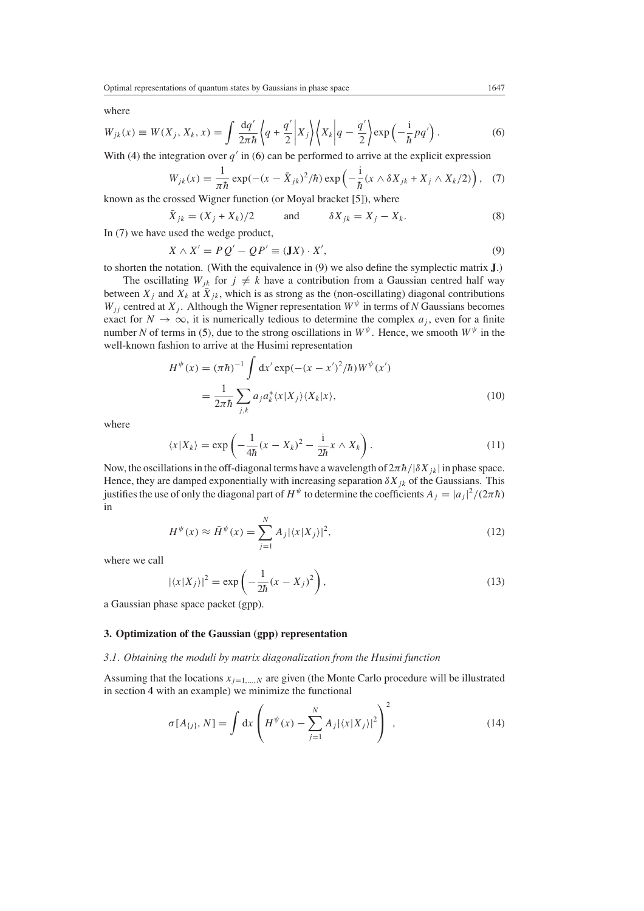<span id="page-2-1"></span>where

$$
W_{jk}(x) \equiv W(X_j, X_k, x) = \int \frac{\mathrm{d}q'}{2\pi\hbar} \left\langle q + \frac{q'}{2} \middle| X_j \right\rangle \left\langle X_k \middle| q - \frac{q'}{2} \right\rangle \exp\left(-\frac{\mathrm{i}}{\hbar}pq'\right). \tag{6}
$$

<span id="page-2-2"></span>With [\(4\)](#page-1-3) the integration over  $q'$  in [\(6\)](#page-2-1) can be performed to arrive at the explicit expression

$$
W_{jk}(x) = \frac{1}{\pi \hbar} \exp(-(x - \bar{X}_{jk})^2/\hbar) \exp\left(-\frac{i}{\hbar}(x \wedge \delta X_{jk} + X_j \wedge X_k/2)\right), \quad (7)
$$

known as the crossed Wigner function (or Moyal bracket [5]), where

$$
\bar{X}_{jk} = (X_j + X_k)/2 \qquad \text{and} \qquad \delta X_{jk} = X_j - X_k. \tag{8}
$$

<span id="page-2-3"></span>In [\(7\)](#page-2-2) we have used the wedge product,

$$
X \wedge X' = P Q' - Q P' \equiv (\mathbf{J} X) \cdot X',\tag{9}
$$

to shorten the notation. (With the equivalence in [\(9\)](#page-2-3) we also define the symplectic matrix **J**.)

The oscillating  $W_{jk}$  for  $j \neq k$  have a contribution from a Gaussian centred half way between  $X_j$  and  $X_k$  at  $\overline{X}_{jk}$ , which is as strong as the (non-oscillating) diagonal contributions *W<sub>jj</sub>* centred at *X<sub>j</sub>*. Although the Wigner representation  $W^{\psi}$  in terms of *N* Gaussians becomes exact for  $N \to \infty$ , it is numerically tedious to determine the complex  $a_j$ , even for a finite number *N* of terms in [\(5\)](#page-1-4), due to the strong oscillations in  $W^{\psi}$ . Hence, we smooth  $W^{\psi}$  in the well-known fashion to arrive at the Husimi representation

$$
H^{\psi}(x) = (\pi \hbar)^{-1} \int dx' \exp(-(x - x')^2/\hbar) W^{\psi}(x')
$$
  
= 
$$
\frac{1}{2\pi \hbar} \sum_{j,k} a_j a_k^* \langle x | X_j \rangle \langle X_k | x \rangle,
$$
 (10)

where

$$
\langle x|X_k\rangle = \exp\left(-\frac{1}{4\hbar}(x - X_k)^2 - \frac{1}{2\hbar}x \wedge X_k\right). \tag{11}
$$

Now, the oscillations in the off-diagonal terms have a wavelength of  $2\pi\hbar/|\delta X_{ik}|$  in phase space. Hence, they are damped exponentially with increasing separation  $\delta X_{ik}$  of the Gaussians. This justifies the use of only the diagonal part of  $H^{\psi}$  to determine the coefficients  $A_j = |a_j|^2/(2\pi\hbar)$ in

$$
H^{\psi}(x) \approx \bar{H}^{\psi}(x) = \sum_{j=1}^{N} A_j |\langle x | X_j \rangle|^2,
$$
\n(12)

where we call

$$
|\langle x|X_j\rangle|^2 = \exp\left(-\frac{1}{2\hbar}(x - X_j)^2\right),\tag{13}
$$

a Gaussian phase space packet (gpp).

## <span id="page-2-0"></span>**3. Optimization of the Gaussian (gpp) representation**

#### *3.1. Obtaining the moduli by matrix diagonalization from the Husimi function*

Assuming that the locations  $x_{j=1,\dots,N}$  are given (the Monte Carlo procedure will be illustrated in section [4](#page-4-0) with an example) we minimize the functional

$$
\sigma[A_{\{j\}}, N] = \int dx \left( H^{\psi}(x) - \sum_{j=1}^{N} A_j |\langle x | X_j \rangle|^2 \right)^2, \tag{14}
$$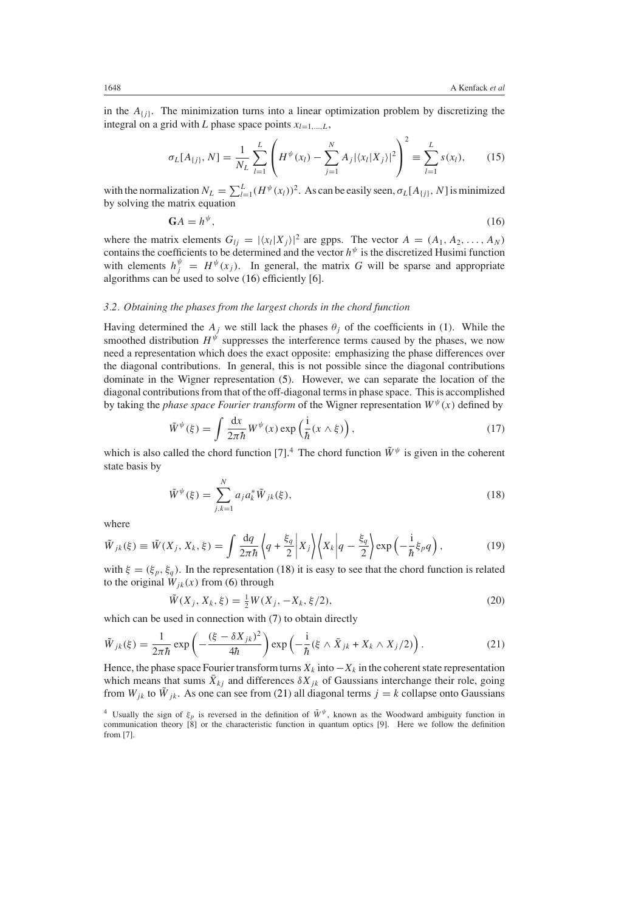<span id="page-3-4"></span>in the  $A_{\{j\}}$ . The minimization turns into a linear optimization problem by discretizing the integral on a grid with *L* phase space points  $x_{l=1,...,L}$ ,

$$
\sigma_L[A_{\{j\}}, N] = \frac{1}{N_L} \sum_{l=1}^L \left( H^{\psi}(x_l) - \sum_{j=1}^N A_j |\langle x_l | X_j \rangle|^2 \right)^2 \equiv \sum_{l=1}^L s(x_l), \quad (15)
$$

<span id="page-3-0"></span>with the normalization  $N_L = \sum_{l=1}^{L} (H^{\psi}(x_l))^2$ . As can be easily seen,  $\sigma_L[A_{\{j\}}, N]$  is minimized by solving the matrix equation

$$
\mathbf{G}A = h^{\psi},\tag{16}
$$

where the matrix elements  $G_{lj} = |\langle x_l | X_j \rangle|^2$  are gpps. The vector  $A = (A_1, A_2, \dots, A_N)$ contains the coefficients to be determined and the vector *h<sup>ψ</sup>* is the discretized Husimi function with elements  $h_j^{\psi} = H^{\psi}(x_j)$ . In general, the matrix *G* will be sparse and appropriate algorithms can be used to solve [\(16\)](#page-3-0) efficiently [6].

## *3.2. Obtaining the phases from the largest chords in the chord function*

Having determined the  $A_j$  we still lack the phases  $\theta_j$  of the coefficients in [\(1\)](#page-1-5). While the smoothed distribution  $H^{\psi}$  suppresses the interference terms caused by the phases, we now need a representation which does the exact opposite: emphasizing the phase differences over the diagonal contributions. In general, this is not possible since the diagonal contributions dominate in the Wigner representation [\(5\)](#page-1-4). However, we can separate the location of the diagonal contributions from that of the off-diagonal terms in phase space. This is accomplished by taking the *phase space Fourier transform* of the Wigner representation  $W^{\psi}(x)$  defined by

$$
\tilde{W}^{\psi}(\xi) = \int \frac{\mathrm{d}x}{2\pi\hbar} W^{\psi}(x) \exp\left(\frac{\mathrm{i}}{\hbar}(x \wedge \xi)\right),\tag{17}
$$

<span id="page-3-3"></span><span id="page-3-1"></span>which is also called the chord function [7].<sup>4</sup> The chord function  $\tilde{W}^{\psi}$  is given in the coherent state basis by

$$
\tilde{W}^{\psi}(\xi) = \sum_{j,k=1}^{N} a_j a_k^* \tilde{W}_{jk}(\xi),
$$
\n(18)

where

$$
\tilde{W}_{jk}(\xi) \equiv \tilde{W}(X_j, X_k, \xi) = \int \frac{dq}{2\pi\hbar} \left\langle q + \frac{\xi_q}{2} \left| X_j \right\rangle \left\langle X_k \right| q - \frac{\xi_q}{2} \right\rangle \exp\left(-\frac{i}{\hbar} \xi_p q\right),\tag{19}
$$

with  $\xi = (\xi_p, \xi_q)$ . In the representation [\(18\)](#page-3-1) it is easy to see that the chord function is related to the original  $W_{ik}(x)$  from [\(6\)](#page-2-1) through

$$
\tilde{W}(X_j, X_k, \xi) = \frac{1}{2} W(X_j, -X_k, \xi/2),\tag{20}
$$

which can be used in connection with [\(7\)](#page-2-2) to obtain directly

<span id="page-3-2"></span>
$$
\tilde{W}_{jk}(\xi) = \frac{1}{2\pi\hbar} \exp\left(-\frac{(\xi - \delta X_{jk})^2}{4\hbar}\right) \exp\left(-\frac{i}{\hbar}(\xi \wedge \bar{X}_{jk} + X_k \wedge X_j/2)\right). \tag{21}
$$

Hence, the phase space Fourier transform turns  $X_k$  into  $-X_k$  in the coherent state representation which means that sums  $\bar{X}_{ki}$  and differences  $\delta X_{ik}$  of Gaussians interchange their role, going from  $W_{ik}$  to  $\tilde{W}_{ik}$ . As one can see from [\(21\)](#page-3-2) all diagonal terms  $j = k$  collapse onto Gaussians

<sup>&</sup>lt;sup>4</sup> Usually the sign of  $\xi_p$  is reversed in the definition of  $\tilde{W}^{\psi}$ , known as the Woodward ambiguity function in communication theory [8] or the characteristic function in quantum optics [9]. Here we follow the definition from [7].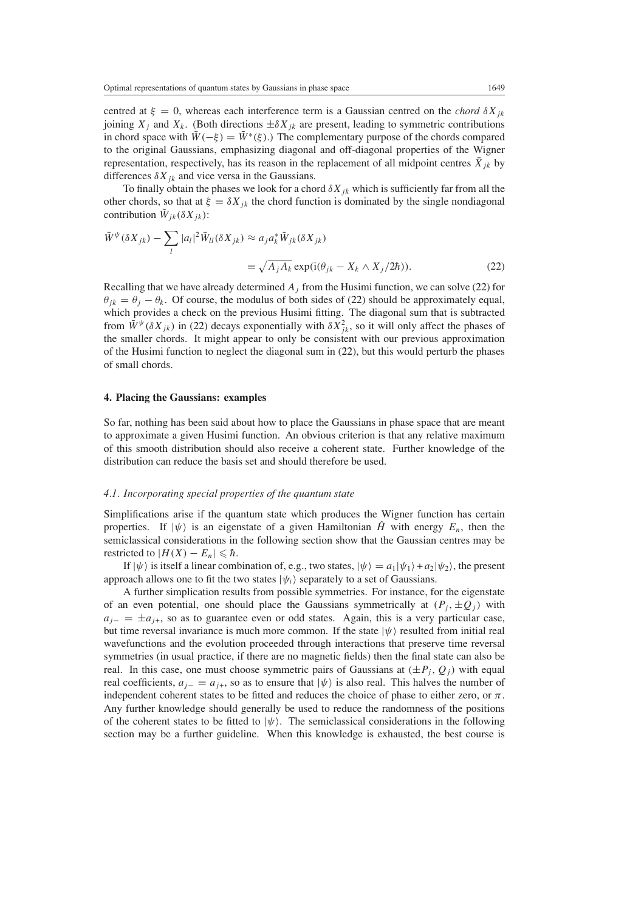centred at  $\xi = 0$ , whereas each interference term is a Gaussian centred on the *chord*  $\delta X_{ik}$ joining  $X_i$  and  $X_k$ . (Both directions  $\pm \delta X_{ik}$  are present, leading to symmetric contributions in chord space with  $\tilde{W}(-\xi) = \tilde{W}^*(\xi)$ .) The complementary purpose of the chords compared to the original Gaussians, emphasizing diagonal and off-diagonal properties of the Wigner representation, respectively, has its reason in the replacement of all midpoint centres  $\bar{X}_{jk}$  by differences  $\delta X_{ik}$  and vice versa in the Gaussians.

To finally obtain the phases we look for a chord  $\delta X_{jk}$  which is sufficiently far from all the other chords, so that at  $\xi = \delta X_{jk}$  the chord function is dominated by the single nondiagonal contribution  $W_{ik}(\delta X_{jk})$ :

<span id="page-4-1"></span>
$$
\tilde{W}^{\psi}(\delta X_{jk}) - \sum_{l} |a_{l}|^{2} \tilde{W}_{ll}(\delta X_{jk}) \approx a_{j} a_{k}^{*} \tilde{W}_{jk}(\delta X_{jk})
$$
\n
$$
= \sqrt{A_{j} A_{k}} \exp(i(\theta_{jk} - X_{k} \wedge X_{j}/2\hbar)). \tag{22}
$$

Recalling that we have already determined  $A_j$  from the Husimi function, we can solve [\(22\)](#page-4-1) for  $\theta_{ik} = \theta_i - \theta_k$ . Of course, the modulus of both sides of [\(22\)](#page-4-1) should be approximately equal, which provides a check on the previous Husimi fitting. The diagonal sum that is subtracted from  $\tilde{W}^{\psi}(\delta X_{jk})$  in [\(22\)](#page-4-1) decays exponentially with  $\delta X_{jk}^2$ , so it will only affect the phases of the smaller chords. It might appear to only be consistent with our previous approximation of the Husimi function to neglect the diagonal sum in [\(22\)](#page-4-1), but this would perturb the phases of small chords.

## <span id="page-4-0"></span>**4. Placing the Gaussians: examples**

So far, nothing has been said about how to place the Gaussians in phase space that are meant to approximate a given Husimi function. An obvious criterion is that any relative maximum of this smooth distribution should also receive a coherent state. Further knowledge of the distribution can reduce the basis set and should therefore be used.

#### *4.1. Incorporating special properties of the quantum state*

Simplifications arise if the quantum state which produces the Wigner function has certain properties. If  $|\psi\rangle$  is an eigenstate of a given Hamiltonian  $\hat{H}$  with energy  $E_n$ , then the semiclassical considerations in the following section show that the Gaussian centres may be restricted to  $|H(X) - E_n| \leq \hbar$ .

If  $|\psi\rangle$  is itself a linear combination of, e.g., two states,  $|\psi\rangle = a_1|\psi_1\rangle + a_2|\psi_2\rangle$ , the present approach allows one to fit the two states  $|\psi_i\rangle$  separately to a set of Gaussians.

A further simplication results from possible symmetries. For instance, for the eigenstate of an even potential, one should place the Gaussians symmetrically at  $(P_j, \pm Q_j)$  with *aj*<sup>−</sup> = ±*aj*+, so as to guarantee even or odd states. Again, this is a very particular case, but time reversal invariance is much more common. If the state  $|\psi\rangle$  resulted from initial real wavefunctions and the evolution proceeded through interactions that preserve time reversal symmetries (in usual practice, if there are no magnetic fields) then the final state can also be real. In this case, one must choose symmetric pairs of Gaussians at  $(\pm P_i, Q_i)$  with equal real coefficients,  $a_{j-} = a_{j+}$ , so as to ensure that  $|\psi\rangle$  is also real. This halves the number of independent coherent states to be fitted and reduces the choice of phase to either zero, or  $\pi$ . Any further knowledge should generally be used to reduce the randomness of the positions of the coherent states to be fitted to  $|\psi\rangle$ . The semiclassical considerations in the following section may be a further guideline. When this knowledge is exhausted, the best course is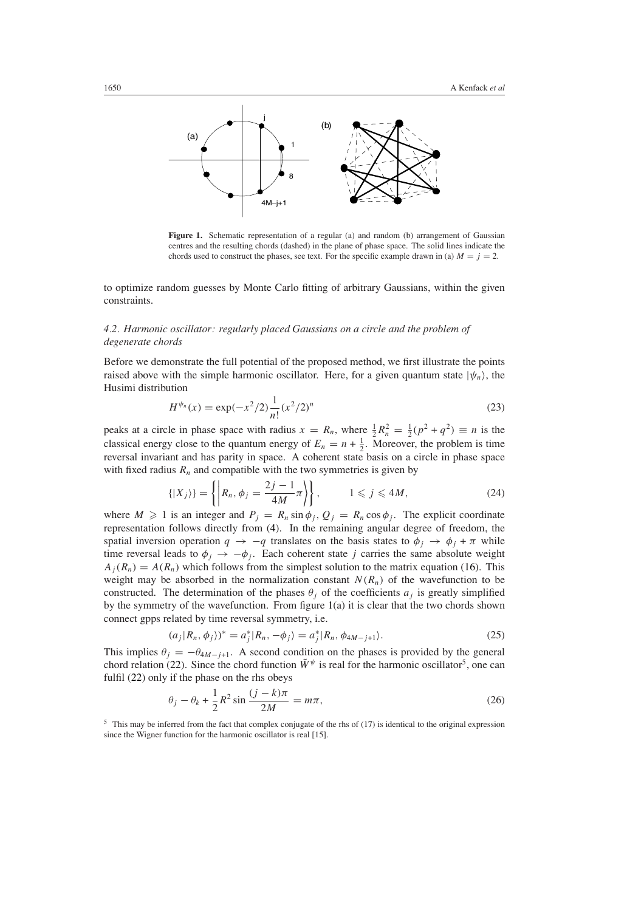

<span id="page-5-0"></span>Figure 1. Schematic representation of a regular (a) and random (b) arrangement of Gaussian centres and the resulting chords (dashed) in the plane of phase space. The solid lines indicate the chords used to construct the phases, see text. For the specific example drawn in (a)  $M = j = 2$ .

to optimize random guesses by Monte Carlo fitting of arbitrary Gaussians, within the given constraints.

# *4.2. Harmonic oscillator: regularly placed Gaussians on a circle and the problem of degenerate chords*

Before we demonstrate the full potential of the proposed method, we first illustrate the points raised above with the simple harmonic oscillator. Here, for a given quantum state  $|\psi_n\rangle$ , the Husimi distribution

$$
H^{\psi_n}(x) = \exp(-x^2/2) \frac{1}{n!} (x^2/2)^n
$$
\n(23)

peaks at a circle in phase space with radius  $x = R_n$ , where  $\frac{1}{2}R_n^2 = \frac{1}{2}(p^2 + q^2) \equiv n$  is the classical energy close to the quantum energy of  $E_n = n + \frac{1}{2}$ . Moreover, the problem is time reversal invariant and has parity in space. A coherent state basis on a circle in phase space with fixed radius  $R_n$  and compatible with the two symmetries is given by

$$
\{|X_j\rangle\} = \left\{ \left| R_n, \phi_j = \frac{2j-1}{4M} \pi \right\rangle \right\}, \qquad 1 \leqslant j \leqslant 4M, \tag{24}
$$

where  $M \ge 1$  is an integer and  $P_j = R_n \sin \phi_j$ ,  $Q_j = R_n \cos \phi_j$ . The explicit coordinate representation follows directly from [\(4\)](#page-1-3). In the remaining angular degree of freedom, the spatial inversion operation  $q \to -q$  translates on the basis states to  $\phi_j \to \phi_j + \pi$  while time reversal leads to  $\phi_i \rightarrow -\phi_i$ . Each coherent state *j* carries the same absolute weight  $A_i(R_n) = A(R_n)$  which follows from the simplest solution to the matrix equation [\(16\)](#page-3-0). This weight may be absorbed in the normalization constant  $N(R_n)$  of the wavefunction to be constructed. The determination of the phases  $\theta_i$  of the coefficients  $a_i$  is greatly simplified by the symmetry of the wavefunction. From figure [1\(](#page-5-0)a) it is clear that the two chords shown connect gpps related by time reversal symmetry, i.e.

$$
(a_j|R_n, \phi_j)^* = a_j^* |R_n, -\phi_j\rangle = a_j^* |R_n, \phi_{4M-j+1}\rangle.
$$
 (25)

This implies  $\theta_i = -\theta_{4M-j+1}$ . A second condition on the phases is provided by the general chord relation [\(22\)](#page-4-1). Since the chord function  $\tilde{W}^{\psi}$  is real for the harmonic oscillator<sup>5</sup>, one can fulfil [\(22\)](#page-4-1) only if the phase on the rhs obeys

$$
\theta_j - \theta_k + \frac{1}{2}R^2 \sin \frac{(j-k)\pi}{2M} = m\pi,
$$
\n(26)

<sup>5</sup> This may be inferred from the fact that complex conjugate of the rhs of [\(17\)](#page-3-3) is identical to the original expression since the Wigner function for the harmonic oscillator is real [15].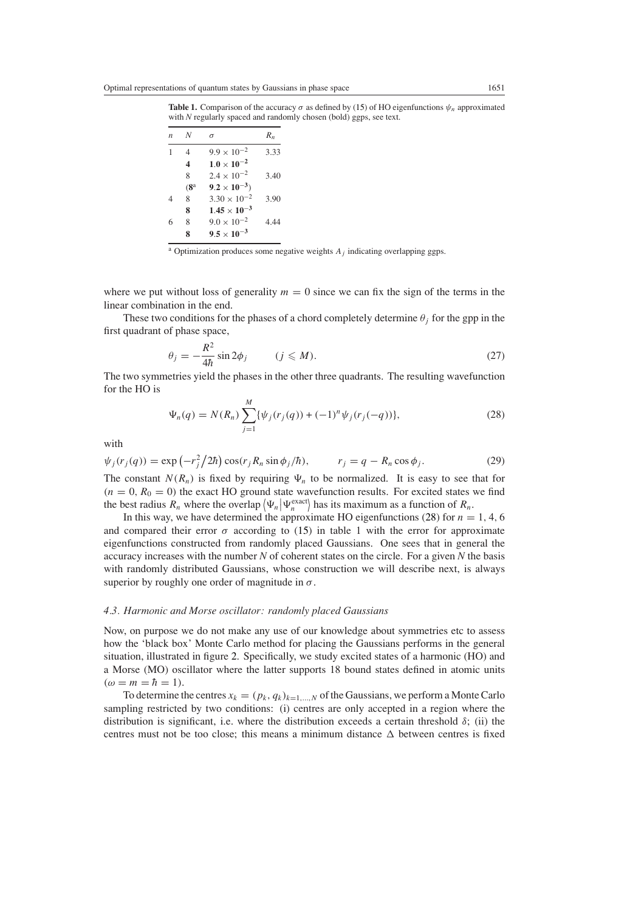**Table 1.** Comparison of the accuracy  $\sigma$  as defined by [\(15\)](#page-3-4) of HO eigenfunctions  $\psi_n$  approximated with *N* regularly spaced and randomly chosen (bold) ggps, see text.

| n | N               | σ                     | $R_n$ |
|---|-----------------|-----------------------|-------|
|   | 4               | $9.9 \times 10^{-2}$  | 3.33  |
|   | 4               | $1.0 \times 10^{-2}$  |       |
|   | 8               | $2.4 \times 10^{-2}$  | 3.40  |
|   | (8 <sup>a</sup> | $9.2 \times 10^{-3}$  |       |
| 4 | 8               | $3.30 \times 10^{-2}$ | 3.90  |
|   | 8               | $1.45 \times 10^{-3}$ |       |
| 6 | 8               | $9.0 \times 10^{-2}$  | 4.44  |
|   | 8               | $9.5 \times 10^{-3}$  |       |

<sup>a</sup> Optimization produces some negative weights  $A_j$  indicating overlapping ggps.

where we put without loss of generality  $m = 0$  since we can fix the sign of the terms in the linear combination in the end.

These two conditions for the phases of a chord completely determine  $\theta_i$  for the gpp in the first quadrant of phase space,

$$
\theta_j = -\frac{R^2}{4\hbar} \sin 2\phi_j \qquad (j \leqslant M). \tag{27}
$$

<span id="page-6-0"></span>The two symmetries yield the phases in the other three quadrants. The resulting wavefunction for the HO is

$$
\Psi_n(q) = N(R_n) \sum_{j=1}^M \{ \psi_j(r_j(q)) + (-1)^n \psi_j(r_j(-q)) \},\tag{28}
$$

with

$$
\psi_j(r_j(q)) = \exp\left(-r_j^2/2\hbar\right)\cos(r_j R_n \sin\phi_j/\hbar), \qquad r_j = q - R_n \cos\phi_j. \tag{29}
$$
  
The constant  $N(R_n)$  is fixed by requiring  $\Psi_n$  to be normalized. It is easy to see that for

 $(n = 0, R_0 = 0)$  the exact HO ground state wavefunction results. For excited states we find the best radius  $R_n$  where the overlap  $\langle \Psi_n | \Psi_n^{\text{exact}} \rangle$  has its maximum as a function of  $R_n$ .

In this way, we have determined the approximate HO eigenfunctions [\(28\)](#page-6-0) for  $n = 1, 4, 6$ and compared their error  $\sigma$  according to [\(15\)](#page-3-4) in table 1 with the error for approximate eigenfunctions constructed from randomly placed Gaussians. One sees that in general the accuracy increases with the number *N* of coherent states on the circle. For a given *N* the basis with randomly distributed Gaussians, whose construction we will describe next, is always superior by roughly one order of magnitude in *σ*.

# *4.3. Harmonic and Morse oscillator: randomly placed Gaussians*

Now, on purpose we do not make any use of our knowledge about symmetries etc to assess how the 'black box' Monte Carlo method for placing the Gaussians performs in the general situation, illustrated in figure [2.](#page-7-0) Specifically, we study excited states of a harmonic (HO) and a Morse (MO) oscillator where the latter supports 18 bound states defined in atomic units  $(\omega = m = \hbar = 1).$ 

To determine the centres  $x_k = (p_k, q_k)_{k=1,\dots,N}$  of the Gaussians, we perform a Monte Carlo sampling restricted by two conditions: (i) centres are only accepted in a region where the distribution is significant, i.e. where the distribution exceeds a certain threshold *δ*; (ii) the centres must not be too close; this means a minimum distance  $\Delta$  between centres is fixed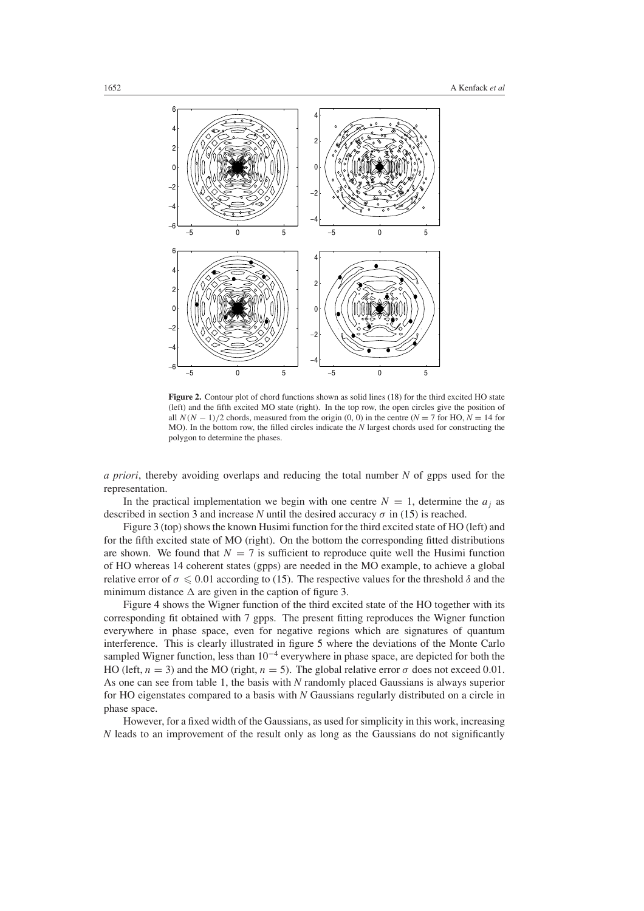

<span id="page-7-0"></span>Figure 2. Contour plot of chord functions shown as solid lines [\(18\)](#page-3-1) for the third excited HO state (left) and the fifth excited MO state (right). In the top row, the open circles give the position of all  $N(N-1)/2$  chords, measured from the origin (0, 0) in the centre ( $N = 7$  for HO,  $N = 14$  for MO). In the bottom row, the filled circles indicate the *N* largest chords used for constructing the polygon to determine the phases.

*a priori*, thereby avoiding overlaps and reducing the total number *N* of gpps used for the representation.

In the practical implementation we begin with one centre  $N = 1$ , determine the  $a_i$  as described in section [3](#page-2-0) and increase *N* until the desired accuracy  $\sigma$  in [\(15\)](#page-3-4) is reached.

Figure [3](#page-8-0) (top) shows the known Husimi function for the third excited state of HO (left) and for the fifth excited state of MO (right). On the bottom the corresponding fitted distributions are shown. We found that  $N = 7$  is sufficient to reproduce quite well the Husimi function of HO whereas 14 coherent states (gpps) are needed in the MO example, to achieve a global relative error of  $\sigma \leq 0.01$  according to [\(15\)](#page-3-4). The respective values for the threshold  $\delta$  and the minimum distance  $\Delta$  are given in the caption of figure [3.](#page-8-0)

Figure [4](#page-8-1) shows the Wigner function of the third excited state of the HO together with its corresponding fit obtained with 7 gpps. The present fitting reproduces the Wigner function everywhere in phase space, even for negative regions which are signatures of quantum interference. This is clearly illustrated in figure [5](#page-8-2) where the deviations of the Monte Carlo sampled Wigner function, less than  $10^{-4}$  everywhere in phase space, are depicted for both the HO (left,  $n = 3$ ) and the MO (right,  $n = 5$ ). The global relative error  $\sigma$  does not exceed 0.01. As one can see from table 1, the basis with *N* randomly placed Gaussians is always superior for HO eigenstates compared to a basis with *N* Gaussians regularly distributed on a circle in phase space.

However, for a fixed width of the Gaussians, as used for simplicity in this work, increasing *N* leads to an improvement of the result only as long as the Gaussians do not significantly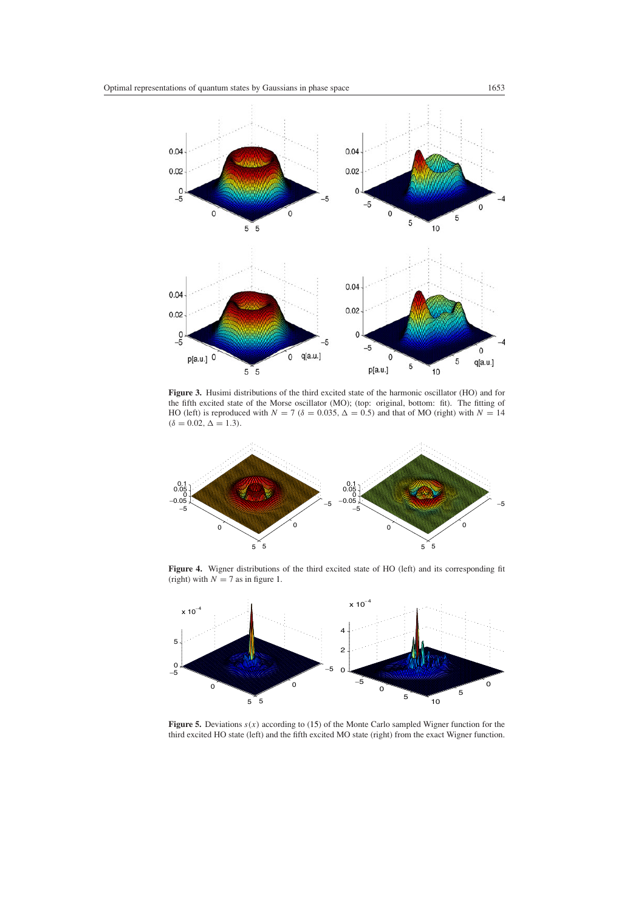

<span id="page-8-0"></span>**Figure 3.** Husimi distributions of the third excited state of the harmonic oscillator (HO) and for the fifth excited state of the Morse oscillator (MO); (top: original, bottom: fit). The fitting of HO (left) is reproduced with  $N = 7$  ( $\delta = 0.035$ ,  $\Delta = 0.5$ ) and that of MO (right) with  $N = 14$  $(\delta = 0.02, \Delta = 1.3)$ .



**Figure 4.** Wigner distributions of the third excited state of HO (left) and its corresponding fit (right) with  $N = 7$  as in figure [1.](#page-5-0)

<span id="page-8-1"></span>

<span id="page-8-2"></span>**Figure 5.** Deviations *s(x)* according to [\(15\)](#page-3-4) of the Monte Carlo sampled Wigner function for the third excited HO state (left) and the fifth excited MO state (right) from the exact Wigner function.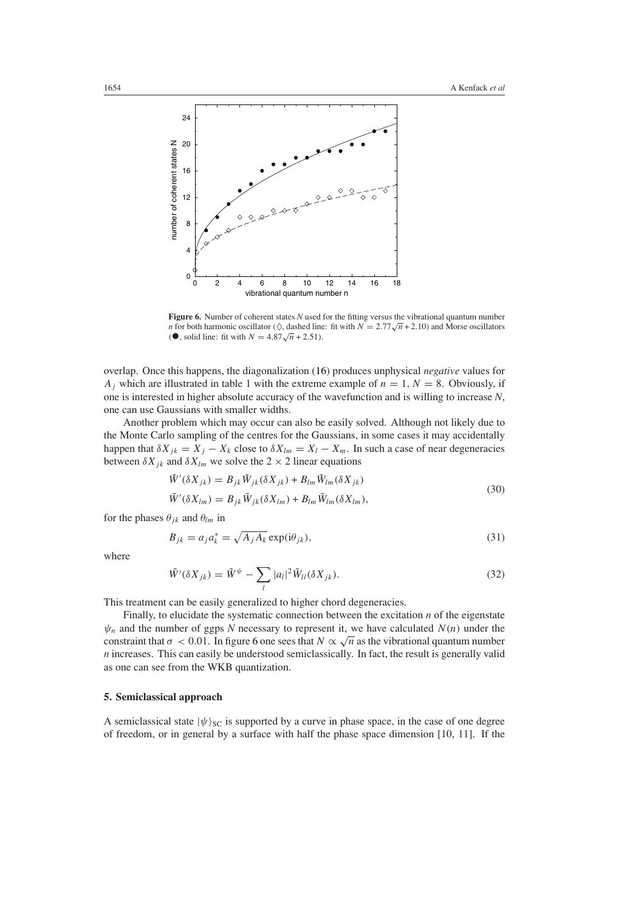

<span id="page-9-1"></span>**Figure 6.** Number of coherent states *N* used for the fitting versus the vibrational quantum number *n* for both harmonic oscillator  $(\Diamond)$ , dashed line: fit with  $N = 2.77\sqrt{n} + 2.10$ ) and Morse oscillators (●, solid line: fit with  $N = 4.87\sqrt{n} + 2.51$ ).

overlap. Once this happens, the diagonalization [\(16\)](#page-3-0) produces unphysical *negative* values for *A<sub>j</sub>* which are illustrated in table 1 with the extreme example of  $n = 1, N = 8$ . Obviously, if one is interested in higher absolute accuracy of the wavefunction and is willing to increase *N*, one can use Gaussians with smaller widths.

Another problem which may occur can also be easily solved. Although not likely due to the Monte Carlo sampling of the centres for the Gaussians, in some cases it may accidentally happen that  $\delta X_{jk} = X_j - X_k$  close to  $\delta X_{lm} = X_l - X_m$ . In such a case of near degeneracies between  $\delta X_{jk}$  and  $\delta X_{lm}$  we solve the 2  $\times$  2 linear equations

$$
\tilde{W}'(\delta X_{jk}) = B_{jk}\tilde{W}_{jk}(\delta X_{jk}) + B_{lm}\tilde{W}_{lm}(\delta X_{jk})
$$
\n(30)

$$
\tilde{W}'(\delta X_{lm}) = B_{jk}\tilde{W}_{jk}(\delta X_{lm}) + B_{lm}\tilde{W}_{lm}(\delta X_{lm}),
$$

for the phases  $\theta_{jk}$  and  $\theta_{lm}$  in

$$
B_{jk} = a_j a_k^* = \sqrt{A_j A_k} \exp(i\theta_{jk}),
$$
\n(31)

where

$$
\tilde{W}'(\delta X_{jk}) = \tilde{W}^{\psi} - \sum_{l} |a_l|^2 \tilde{W}_{ll}(\delta X_{jk}).
$$
\n(32)

This treatment can be easily generalized to higher chord degeneracies.

Finally, to elucidate the systematic connection between the excitation *n* of the eigenstate  $\psi_n$  and the number of ggps *N* necessary to represent it, we have calculated  $N(n)$  under the constraint that  $\sigma$  < 0.01. In figure [6](#page-9-1) one sees that  $N \propto \sqrt{n}$  as the vibrational quantum number *n* increases. This can easily be understood semiclassically. In fact, the result is generally valid as one can see from the WKB quantization.

# <span id="page-9-0"></span>**5. Semiclassical approach**

A semiclassical state  $|\psi\rangle_{SC}$  is supported by a curve in phase space, in the case of one degree of freedom, or in general by a surface with half the phase space dimension [10, 11]. If the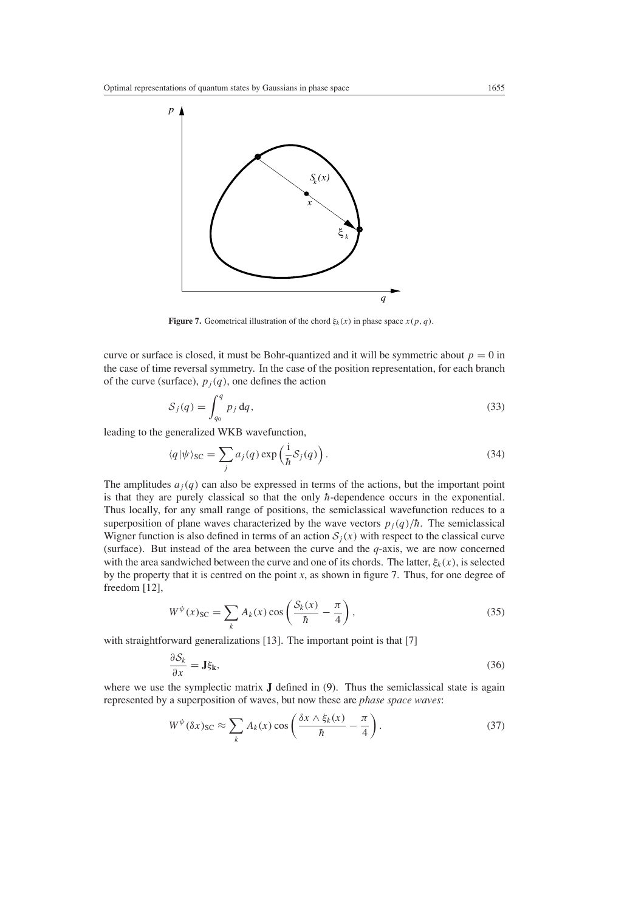

**Figure 7.** Geometrical illustration of the chord  $\xi_k(x)$  in phase space  $x(p, q)$ .

<span id="page-10-0"></span>curve or surface is closed, it must be Bohr-quantized and it will be symmetric about  $p = 0$  in the case of time reversal symmetry. In the case of the position representation, for each branch of the curve (surface),  $p_j(q)$ , one defines the action

$$
S_j(q) = \int_{q_0}^q p_j \, dq,\tag{33}
$$

leading to the generalized WKB wavefunction,

$$
\langle q|\psi\rangle_{\text{SC}} = \sum_{j} a_j(q) \exp\left(\frac{i}{\hbar} \mathcal{S}_j(q)\right). \tag{34}
$$

The amplitudes  $a_i(q)$  can also be expressed in terms of the actions, but the important point is that they are purely classical so that the only  $\hbar$ -dependence occurs in the exponential. Thus locally, for any small range of positions, the semiclassical wavefunction reduces to a superposition of plane waves characterized by the wave vectors  $p_j(q)/\hbar$ . The semiclassical Wigner function is also defined in terms of an action  $S_j(x)$  with respect to the classical curve (surface). But instead of the area between the curve and the *q*-axis, we are now concerned with the area sandwiched between the curve and one of its chords. The latter,  $\xi_k(x)$ , is selected by the property that it is centred on the point *x*, as shown in figure [7.](#page-10-0) Thus, for one degree of freedom [12],

$$
W^{\psi}(x)_{SC} = \sum_{k} A_k(x) \cos\left(\frac{\mathcal{S}_k(x)}{\hbar} - \frac{\pi}{4}\right),\tag{35}
$$

with straightforward generalizations [13]. The important point is that [7]

$$
\frac{\partial S_k}{\partial x} = \mathbf{J}\xi_k,\tag{36}
$$

where we use the symplectic matrix **J** defined in [\(9\)](#page-2-3). Thus the semiclassical state is again represented by a superposition of waves, but now these are *phase space waves*:

$$
W^{\psi}(\delta x)_{\rm SC} \approx \sum_{k} A_k(x) \cos \left( \frac{\delta x \wedge \xi_k(x)}{\hbar} - \frac{\pi}{4} \right). \tag{37}
$$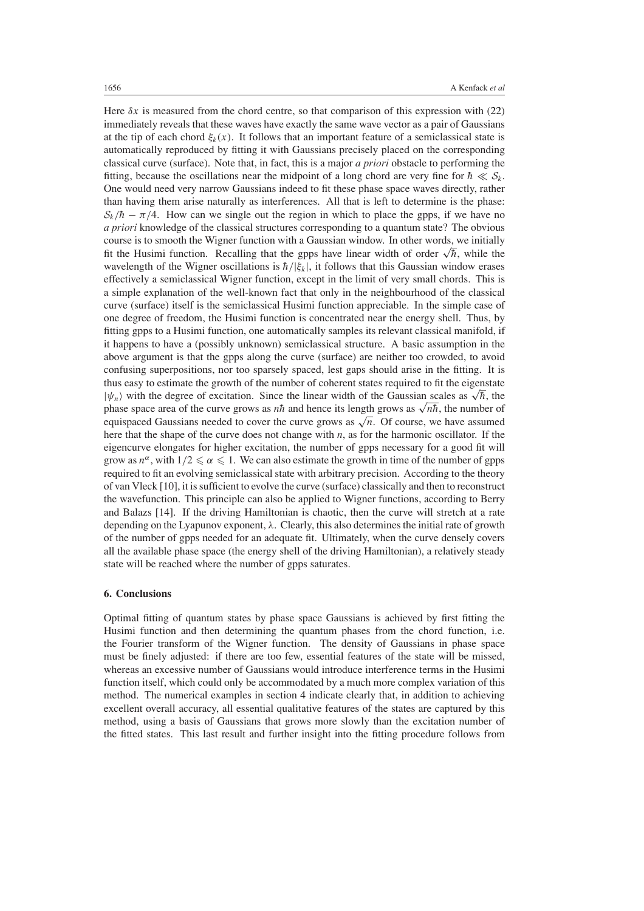Here  $\delta x$  is measured from the chord centre, so that comparison of this expression with [\(22\)](#page-4-1) immediately reveals that these waves have exactly the same wave vector as a pair of Gaussians at the tip of each chord  $\xi_k(x)$ . It follows that an important feature of a semiclassical state is automatically reproduced by fitting it with Gaussians precisely placed on the corresponding classical curve (surface). Note that, in fact, this is a major *a priori* obstacle to performing the fitting, because the oscillations near the midpoint of a long chord are very fine for  $\hbar \ll S_k$ . One would need very narrow Gaussians indeed to fit these phase space waves directly, rather than having them arise naturally as interferences. All that is left to determine is the phase:  $S_k/\hbar - \pi/4$ . How can we single out the region in which to place the gpps, if we have no *a priori* knowledge of the classical structures corresponding to a quantum state? The obvious course is to smooth the Wigner function with a Gaussian window. In other words, we initially fit the Husimi function. Recalling that the gpps have linear width of order  $\sqrt{\hbar}$ , while the flusimi function. Recalling that the gpps have linear width of order  $\sqrt{\hbar}$ , while the wavelength of the Wigner oscillations is  $\hbar/|\xi_k|$ , it follows that this Gaussian window erases effectively a semiclassical Wigner function, except in the limit of very small chords. This is a simple explanation of the well-known fact that only in the neighbourhood of the classical curve (surface) itself is the semiclassical Husimi function appreciable. In the simple case of one degree of freedom, the Husimi function is concentrated near the energy shell. Thus, by fitting gpps to a Husimi function, one automatically samples its relevant classical manifold, if it happens to have a (possibly unknown) semiclassical structure. A basic assumption in the above argument is that the gpps along the curve (surface) are neither too crowded, to avoid confusing superpositions, nor too sparsely spaced, lest gaps should arise in the fitting. It is thus easy to estimate the growth of the number of coherent states required to fit the eigenstate thus easy to estimate the growth of the number of coherent states required to fit the eigenstate  $|\psi_n\rangle$  with the degree of excitation. Since the linear width of the Gaussian scales as  $\sqrt{\hbar}$ , the phase space area of the curve grows as  $n\hbar$  and hence its length grows as  $\sqrt{n\hbar}$ , the number of equispaced Gaussians needed to cover the curve grows as  $\sqrt{n}$ . Of course, we have assumed here that the shape of the curve does not change with *n*, as for the harmonic oscillator. If the eigencurve elongates for higher excitation, the number of gpps necessary for a good fit will grow as  $n^{\alpha}$ , with  $1/2 \le \alpha \le 1$ . We can also estimate the growth in time of the number of gpps required to fit an evolving semiclassical state with arbitrary precision. According to the theory of van Vleck [10], it is sufficient to evolve the curve (surface) classically and then to reconstruct the wavefunction. This principle can also be applied to Wigner functions, according to Berry and Balazs [14]. If the driving Hamiltonian is chaotic, then the curve will stretch at a rate depending on the Lyapunov exponent, *λ*. Clearly, this also determines the initial rate of growth of the number of gpps needed for an adequate fit. Ultimately, when the curve densely covers all the available phase space (the energy shell of the driving Hamiltonian), a relatively steady state will be reached where the number of gpps saturates.

#### <span id="page-11-0"></span>**6. Conclusions**

Optimal fitting of quantum states by phase space Gaussians is achieved by first fitting the Husimi function and then determining the quantum phases from the chord function, i.e. the Fourier transform of the Wigner function. The density of Gaussians in phase space must be finely adjusted: if there are too few, essential features of the state will be missed, whereas an excessive number of Gaussians would introduce interference terms in the Husimi function itself, which could only be accommodated by a much more complex variation of this method. The numerical examples in section [4](#page-4-0) indicate clearly that, in addition to achieving excellent overall accuracy, all essential qualitative features of the states are captured by this method, using a basis of Gaussians that grows more slowly than the excitation number of the fitted states. This last result and further insight into the fitting procedure follows from